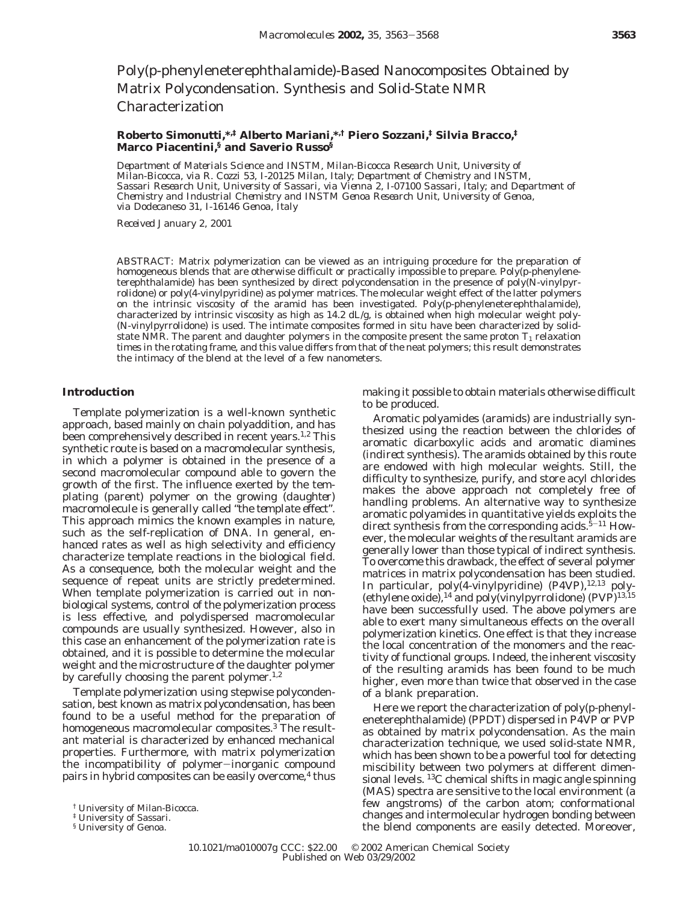# Poly(*p*-phenyleneterephthalamide)-Based Nanocomposites Obtained by Matrix Polycondensation. Synthesis and Solid-State NMR Characterization

# **Roberto Simonutti,\*,‡ Alberto Mariani,\*,† Piero Sozzani,‡ Silvia Bracco,‡ Marco Piacentini,§ and Saverio Russo§**

*Department of Materials Science and INSTM, Milan-Bicocca Research Unit, University of Milan-Bicocca, via R. Cozzi 53, I-20125 Milan, Italy; Department of Chemistry and INSTM, Sassari Research Unit, University of Sassari, via Vienna 2, I-07100 Sassari, Italy; and Department of Chemistry and Industrial Chemistry and INSTM Genoa Research Unit, University of Genoa, via Dodecaneso 31, I-16146 Genoa, Italy*

*Received January 2, 2001*

ABSTRACT: Matrix polymerization can be viewed as an intriguing procedure for the preparation of homogeneous blends that are otherwise difficult or practically impossible to prepare. Poly(*p*-phenyleneterephthalamide) has been synthesized by direct polycondensation in the presence of poly(*N*-vinylpyrrolidone) or poly(4-vinylpyridine) as polymer matrices. The molecular weight effect of the latter polymers on the intrinsic viscosity of the aramid has been investigated. Poly(*p*-phenyleneterephthalamide), characterized by intrinsic viscosity as high as 14.2 dL/g, is obtained when high molecular weight poly- (*N*-vinylpyrrolidone) is used. The intimate composites formed in situ have been characterized by solidstate NMR. The parent and daughter polymers in the composite present the same proton  $T_1$  relaxation times in the rotating frame, and this value differs from that of the neat polymers; this result demonstrates the intimacy of the blend at the level of a few nanometers.

## **Introduction**

Template polymerization is a well-known synthetic approach, based mainly on chain polyaddition, and has been comprehensively described in recent years.<sup>1,2</sup> This synthetic route is based on a macromolecular synthesis, in which a polymer is obtained in the presence of a second macromolecular compound able to govern the growth of the first. The influence exerted by the templating (*parent*) polymer on the growing (*daughter*) macromolecule is generally called "*the template effect*". This approach mimics the known examples in nature, such as the self-replication of DNA. In general, enhanced rates as well as high selectivity and efficiency characterize template reactions in the biological field. As a consequence, both the molecular weight and the sequence of repeat units are strictly predetermined. When template polymerization is carried out in nonbiological systems, control of the polymerization process is less effective, and polydispersed macromolecular compounds are usually synthesized. However, also in this case an enhancement of the polymerization rate is obtained, and it is possible to determine the molecular weight and the microstructure of the daughter polymer by carefully choosing the parent polymer.<sup>1,2</sup>

Template polymerization using stepwise polycondensation, best known as *matrix polycondensation*, has been found to be a useful method for the preparation of homogeneous macromolecular composites.<sup>3</sup> The resultant material is characterized by enhanced mechanical properties. Furthermore, with matrix polymerization the incompatibility of polymer-inorganic compound pairs in hybrid composites can be easily overcome,<sup>4</sup> thus

§ University of Genoa.

making it possible to obtain materials otherwise difficult to be produced.

Aromatic polyamides (aramids) are industrially synthesized using the reaction between the chlorides of aromatic dicarboxylic acids and aromatic diamines (*indirect* synthesis). The aramids obtained by this route are endowed with high molecular weights. Still, the difficulty to synthesize, purify, and store acyl chlorides makes the above approach not completely free of handling problems. An alternative way to synthesize aromatic polyamides in quantitative yields exploits the direct synthesis from the corresponding acids.<sup>5-11</sup> However, the molecular weights of the resultant aramids are generally lower than those typical of indirect synthesis. To overcome this drawback, the effect of several polymer matrices in matrix polycondensation has been studied. In particular,  $poly(4-vinylpyridine)$  (P4VP),  $12,13$  poly-(ethylene oxide),<sup>14</sup> and poly(vinylpyrrolidone) (PVP)<sup>13,15</sup> have been successfully used. The above polymers are able to exert many simultaneous effects on the overall polymerization kinetics. One effect is that they increase the local concentration of the monomers and the reactivity of functional groups. Indeed, the inherent viscosity of the resulting aramids has been found to be much higher, even more than twice that observed in the case of a blank preparation.

Here we report the characterization of poly(*p*-phenyleneterephthalamide) (PPDT) dispersed in P4VP or PVP as obtained by matrix polycondensation. As the main characterization technique, we used solid-state NMR, which has been shown to be a powerful tool for detecting miscibility between two polymers at different dimensional levels. 13C chemical shifts in magic angle spinning (MAS) spectra are sensitive to the local environment (a few angstroms) of the carbon atom; conformational changes and intermolecular hydrogen bonding between the blend components are easily detected. Moreover,

<sup>†</sup> University of Milan-Bicocca.

<sup>‡</sup> University of Sassari.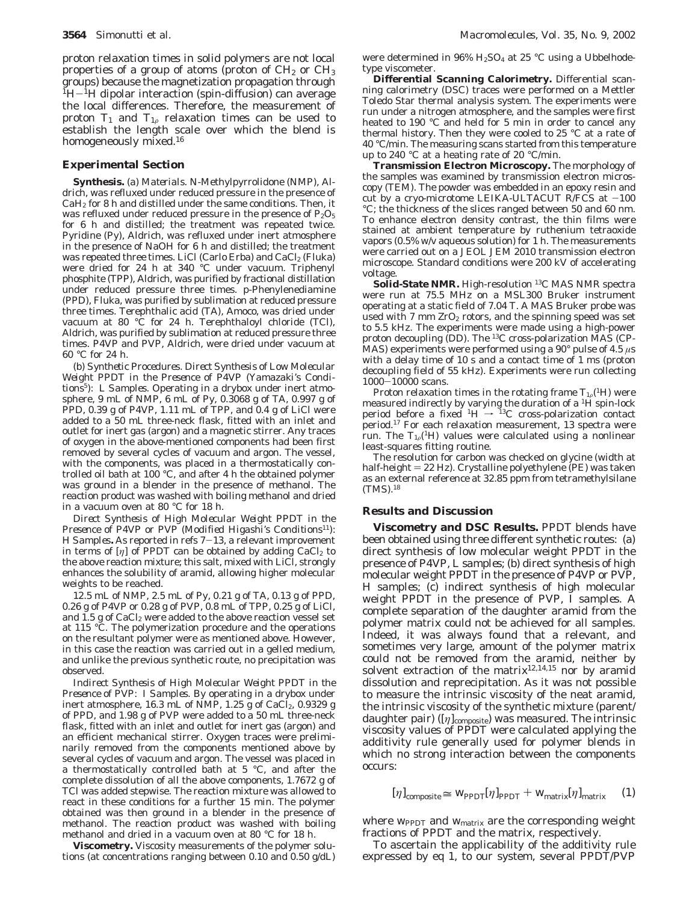proton relaxation times in solid polymers are not local properties of a group of atoms (proton of  $CH<sub>2</sub>$  or  $CH<sub>3</sub>$ ) groups) because the magnetization propagation through  $H$ <sup>1</sup>H $-$ <sup>1</sup>H dipolar interaction (spin-diffusion) can average the local differences. Therefore, the measurement of proton  $T_1$  and  $T_{1\rho}$  relaxation times can be used to establish the length scale over which the blend is homogeneously mixed.<sup>16</sup>

### **Experimental Section**

**Synthesis.** *(a) Materials. N*-Methylpyrrolidone (NMP), Aldrich, was refluxed under reduced pressure in the presence of  $CaH<sub>2</sub>$  for 8 h and distilled under the same conditions. Then, it was refluxed under reduced pressure in the presence of  $P_2O_5$ for 6 h and distilled; the treatment was repeated twice. Pyridine (Py), Aldrich, was refluxed under inert atmosphere in the presence of NaOH for 6 h and distilled; the treatment was repeated three times. LiCl (Carlo Erba) and CaCl<sub>2</sub> (Fluka) were dried for 24 h at 340 °C under vacuum. Triphenyl phosphite (TPP), Aldrich, was purified by fractional distillation under reduced pressure three times. *p*-Phenylenediamine (PPD), Fluka, was purified by sublimation at reduced pressure three times. Terephthalic acid (TA), Amoco, was dried under vacuum at 80 °C for 24 h. Terephthaloyl chloride (TCl), Aldrich, was purified by sublimation at reduced pressure three times. P4VP and PVP, Aldrich, were dried under vacuum at 60 °C for 24 h.

*(b) Synthetic Procedures*. *Direct Synthesis of Low Molecular Weight PPDT in the Presence of P4VP (Yamazaki's Conditions5): L Samples.* Operating in a drybox under inert atmosphere, 9 mL of NMP, 6 mL of Py, 0.3068 g of TA, 0.997 g of PPD, 0.39 g of P4VP, 1.11 mL of TPP, and 0.4 g of LiCl were added to a 50 mL three-neck flask, fitted with an inlet and outlet for inert gas (argon) and a magnetic stirrer. Any traces of oxygen in the above-mentioned components had been first removed by several cycles of vacuum and argon. The vessel, with the components, was placed in a thermostatically controlled oil bath at 100 °C, and after 4 h the obtained polymer was ground in a blender in the presence of methanol. The reaction product was washed with boiling methanol and dried in a vacuum oven at 80 °C for 18 h.

*Direct Synthesis of High Molecular Weight PPDT in the Presence of P4VP or PVP (Modified Higashi's Conditions11): H Samples***.** As reported in refs 7-13, a relevant improvement in terms of  $[\eta]$  of PPDT can be obtained by adding CaCl<sub>2</sub> to the above reaction mixture; this salt, mixed with LiCl, strongly enhances the solubility of aramid, allowing higher molecular weights to be reached.

12.5 mL of NMP, 2.5 mL of Py, 0.21 g of TA, 0.13 g of PPD, 0.26 g of P4VP or 0.28 g of PVP, 0.8 mL of TPP, 0.25 g of LiCl, and 1.5 g of  $CaCl<sub>2</sub>$  were added to the above reaction vessel set at 115 °C. The polymerization procedure and the operations on the resultant polymer were as mentioned above. However, in this case the reaction was carried out in a gelled medium, and unlike the previous synthetic route, no precipitation was observed.

*Indirect Synthesis of High Molecular Weight PPDT in the Presence of PVP: I Samples.* By operating in a drybox under inert atmosphere, 16.3 mL of NMP, 1.25 g of CaCl<sub>2</sub>, 0.9329 g of PPD, and 1.98 g of PVP were added to a 50 mL three-neck flask, fitted with an inlet and outlet for inert gas (argon) and an efficient mechanical stirrer. Oxygen traces were preliminarily removed from the components mentioned above by several cycles of vacuum and argon. The vessel was placed in a thermostatically controlled bath at 5 °C, and after the complete dissolution of all the above components, 1.7672 g of TCl was added stepwise. The reaction mixture was allowed to react in these conditions for a further 15 min. The polymer obtained was then ground in a blender in the presence of methanol. The reaction product was washed with boiling methanol and dried in a vacuum oven at 80 °C for 18 h.

**Viscometry.** Viscosity measurements of the polymer solutions (at concentrations ranging between 0.10 and 0.50 g/dL)

were determined in  $96\%$  H<sub>2</sub>SO<sub>4</sub> at 25 °C using a Ubbelhodetype viscometer.

**Differential Scanning Calorimetry.** Differential scanning calorimetry (DSC) traces were performed on a Mettler Toledo Star thermal analysis system. The experiments were run under a nitrogen atmosphere, and the samples were first heated to 190 °C and held for 5 min in order to cancel any thermal history. Then they were cooled to 25 °C at a rate of 40 °C/min. The measuring scans started from this temperature up to 240 °C at a heating rate of 20 °C/min.

**Transmission Electron Microscopy.** The morphology of the samples was examined by transmission electron microscopy (TEM). The powder was embedded in an epoxy resin and cut by a cryo-microtome LEIKA-ULTACUT R/FCS at  $-100$ °C; the thickness of the slices ranged between 50 and 60 nm. To enhance electron density contrast, the thin films were stained at ambient temperature by ruthenium tetraoxide vapors (0.5% w/v aqueous solution) for 1 h. The measurements were carried out on a JEOL JEM 2010 transmission electron microscope. Standard conditions were 200 kV of accelerating voltage.

Solid-State NMR. High-resolution<sup>13</sup>C MAS NMR spectra were run at 75.5 MHz on a MSL300 Bruker instrument operating at a static field of 7.04 T. A MAS Bruker probe was used with  $7 \text{ mm } ZrO_2$  rotors, and the spinning speed was set to 5.5 kHz. The experiments were made using a high-power proton decoupling (DD). The 13C cross-polarization MAS (CP-MAS) experiments were performed using a 90° pulse of 4.5 *µ*s with a delay time of 10 s and a contact time of 1 ms (proton decoupling field of 55 kHz). Experiments were run collecting <sup>1000</sup>-10000 scans.

Proton relaxation times in the rotating frame  $T_{10}$ <sup>(1</sup>H) were measured indirectly by varying the duration of a 1H spin-lock period before a fixed  ${}^{1}H \rightarrow {}^{13}C$  cross-polarization contact period.17 For each relaxation measurement, 13 spectra were run. The  $T_{1\rho}(^1H)$  values were calculated using a nonlinear least-squares fitting routine.

The resolution for carbon was checked on glycine (width at half-height  $= 22$  Hz). Crystalline polyethylene (PE) was taken as an external reference at 32.85 ppm from tetramethylsilane (TMS).18

#### **Results and Discussion**

**Viscometry and DSC Results.** PPDT blends have been obtained using three different synthetic routes: (a) direct synthesis of low molecular weight PPDT in the presence of P4VP, *L samples*; (b) direct synthesis of high molecular weight PPDT in the presence of P4VP or PVP, *H samples*; (c) indirect synthesis of high molecular weight PPDT in the presence of PVP, *I samples*. A complete separation of the daughter aramid from the polymer matrix could not be achieved for all samples. Indeed, it was always found that a relevant, and sometimes very large, amount of the polymer matrix could not be removed from the aramid, neither by solvent extraction of the matrix<sup>12,14,15</sup> nor by aramid dissolution and reprecipitation. As it was not possible to measure the intrinsic viscosity of the neat aramid, the intrinsic viscosity of the synthetic mixture (parent/ daughter pair) ( $[\eta]_{\text{composite}}$ ) was measured. The intrinsic viscosity values of PPDT were calculated applying the additivity rule generally used for polymer blends in which no strong interaction between the components occurs:

$$
[\eta]_{\text{composite}} \cong W_{\text{PDDT}}[\eta]_{\text{PPDT}} + W_{\text{matrix}}[\eta]_{\text{matrix}} \quad (1)
$$

where  $w_{\text{PPT}}$  and  $w_{\text{matrix}}$  are the corresponding weight fractions of PPDT and the matrix, respectively.

To ascertain the applicability of the additivity rule expressed by eq 1, to our system, several PPDT/PVP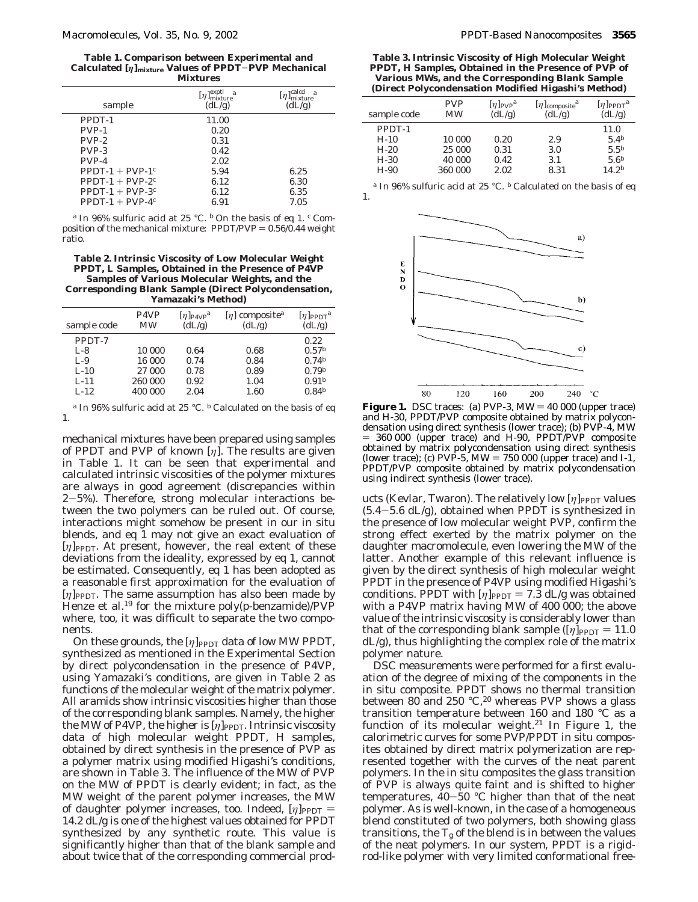**Table 1. Comparison between Experimental and Calculated [***η***]mixture Values of PPDT**-**PVP Mechanical Mixtures**

| sample              | $[\eta]_{\mbox{\scriptsize mixture}}^{\mbox{\scriptsize exptl}}$<br>$\overline{a}$<br>(dL/g) | $[\eta]_{\rm mixture}^{\rm calcd}$<br>$\overline{a}$<br>(dL/g) |
|---------------------|----------------------------------------------------------------------------------------------|----------------------------------------------------------------|
| PPDT-1              | 11.00                                                                                        |                                                                |
| PVP-1               | 0.20                                                                                         |                                                                |
| $PVP-2$             | 0.31                                                                                         |                                                                |
| $PVP-3$             | 0.42                                                                                         |                                                                |
| PVP-4               | 2.02                                                                                         |                                                                |
| PPDT-1 + PVP-1 $^c$ | 5.94                                                                                         | 6.25                                                           |
| PPDT-1 + PVP-2 $^c$ | 6.12                                                                                         | 6.30                                                           |
| PPDT-1 + PVP-3 $^c$ | 6.12                                                                                         | 6.35                                                           |
| PPDT-1 + PVP-4 $c$  | 6.91                                                                                         | 7.05                                                           |
|                     |                                                                                              |                                                                |

*<sup>a</sup>* In 96% sulfuric acid at 25 °C. *<sup>b</sup>* On the basis of eq 1. *<sup>c</sup>* Composition of the mechanical mixture:  $PPDT/PVP = 0.56/0.44$  weight ratio.

#### **Table 2. Intrinsic Viscosity of Low Molecular Weight PPDT,** *L Samples***, Obtained in the Presence of P4VP Samples of Various Molecular Weights, and the Corresponding Blank Sample (Direct Polycondensation, Yamazaki's Method)**

| sample code                                  | P <sub>4</sub> V <sub>P</sub><br>MW   | $[\eta]$ P4VP <sup>a</sup><br>(dL/g) | $[\eta]$ composite <sup>a</sup><br>(dL/g) | $[\eta]$ PPDT <sup>a</sup><br>(dL/g)                                              |
|----------------------------------------------|---------------------------------------|--------------------------------------|-------------------------------------------|-----------------------------------------------------------------------------------|
| PPDT-7<br>$L-8$<br>$L-9$<br>$L-10$<br>$L-11$ | 10 000<br>16 000<br>27 000<br>260 000 | 0.64<br>0.74<br>0.78<br>0.92         | 0.68<br>0.84<br>0.89<br>1.04              | 0.22<br>0.57 <sup>b</sup><br>$0.74^{b}$<br>0.79 <sup>b</sup><br>0.91 <sup>b</sup> |
| $L-12$                                       | 400 000                               | 2.04                                 | 1.60                                      | $0.84^{b}$                                                                        |

*<sup>a</sup>* In 96% sulfuric acid at 25 °C. *<sup>b</sup>* Calculated on the basis of eq 1.

mechanical mixtures have been prepared using samples of PPDT and PVP of known [*η*]. The results are given in Table 1. It can be seen that experimental and calculated intrinsic viscosities of the polymer mixtures are always in good agreement (discrepancies within <sup>2</sup>-5%). Therefore, strong molecular interactions between the two polymers can be ruled out. Of course, interactions might somehow be present in our in situ blends, and eq 1 may not give an exact evaluation of [*η*]<sub>PPDT</sub>. At present, however, the real extent of these deviations from the ideality, expressed by eq 1, cannot be estimated. Consequently, eq 1 has been adopted as a reasonable first approximation for the evaluation of [η]<sub>PPDT</sub>. The same assumption has also been made by Henze et al*.* <sup>19</sup> for the mixture poly(*p*-benzamide)/PVP where, too, it was difficult to separate the two components.

On these grounds, the  $[\eta]_{\text{PPDT}}$  data of low MW PPDT, synthesized as mentioned in the Experimental Section by direct polycondensation in the presence of P4VP, using Yamazaki's conditions, are given in Table 2 as functions of the molecular weight of the matrix polymer. All aramids show intrinsic viscosities higher than those of the corresponding blank samples. Namely, the higher the MW of P4VP, the higher is [η]<sub>PPDT</sub>. Intrinsic viscosity data of high molecular weight PPDT, *H samples*, obtained by direct synthesis in the presence of PVP as a polymer matrix using modified Higashi's conditions, are shown in Table 3. The influence of the MW of PVP on the MW of PPDT is clearly evident; in fact, as the MW weight of the parent polymer increases, the MW of daughter polymer increases, too. Indeed,  $[\eta]_{\text{PPT}} =$ 14.2 dL/g is one of the highest values obtained for PPDT synthesized by any synthetic route. This value is significantly higher than that of the blank sample and about twice that of the corresponding commercial prod-

**Table 3. Intrinsic Viscosity of High Molecular Weight PPDT,** *H Samples***, Obtained in the Presence of PVP of Various MWs, and the Corresponding Blank Sample (Direct Polycondensation Modified Higashi's Method)**

| sample code | <b>PVP</b><br><b>MW</b> | $[\eta]_{\text{PVP}}$ <sup>a</sup><br>(dL/g) | $[\eta]$ composite <sup>a</sup><br>(dL/g) | $[\eta]_{\rm PPDT}^a$<br>(dL/g) |
|-------------|-------------------------|----------------------------------------------|-------------------------------------------|---------------------------------|
| $PPDT-1$    |                         |                                              |                                           | 11.0                            |
| $H-10$      | 10 000                  | 0.20                                         | 2.9                                       | 5.4 <sup>b</sup>                |
| $H-20$      | 25 000                  | 0.31                                         | 3.0                                       | 5.5 <sup>b</sup>                |
| $H-30$      | 40 000                  | 0.42                                         | 3.1                                       | 5.6 <sup>b</sup>                |
| $H-90$      | 360 000                 | 2.02                                         | 8.31                                      | 14.2 <sup>b</sup>               |
|             |                         |                                              |                                           |                                 |

In 96% sulfuric acid at 25 °C. <sup>*b*</sup> Calculated on the basis of eq 1.



**Figure 1.** DSC traces: (a) PVP-3,  $MW = 40000$  (upper trace) and H-30, PPDT/PVP composite obtained by matrix polycondensation using direct synthesis (lower trace); (b) PVP-4, MW ) 360 000 (upper trace) and H-90, PPDT/PVP composite obtained by matrix polycondensation using direct synthesis (lower trace); (c)  $PV\dot{P}$ -5,  $MW = 750 000$  (upper trace) and I-1, PPDT/PVP composite obtained by matrix polycondensation using indirect synthesis (lower trace).

ucts (Kevlar, Twaron). The relatively low [η]<sub>PPDT</sub> values  $(5.4-5.6$  dL/g), obtained when PPDT is synthesized in the presence of *low* molecular weight PVP, confirm the strong effect exerted by the matrix polymer on the daughter macromolecule, even lowering the MW of the latter. Another example of this relevant influence is given by the direct synthesis of high molecular weight PPDT in the presence of P4VP using modified Higashi's conditions. PPDT with  $[\eta]_{\rm PPDT} = 7.3$  dL/g was obtained with a P4VP matrix having MW of 400 000; the above value of the intrinsic viscosity is considerably lower than that of the corresponding blank sample  $([\eta]_{\text{PPDT}} = 11.0$ dL/g), thus highlighting the complex role of the matrix polymer nature.

DSC measurements were performed for a first evaluation of the degree of mixing of the components in the in situ composite. PPDT shows no thermal transition between 80 and 250  $^{\circ}$ C,<sup>20</sup> whereas PVP shows a glass transition temperature between 160 and 180 °C as a function of its molecular weight. $21$  In Figure 1, the calorimetric curves for some PVP/PPDT in situ composites obtained by direct matrix polymerization are represented together with the curves of the neat parent polymers. In the in situ composites the glass transition of PVP is always quite faint and is shifted to higher temperatures,  $40-50$  °C higher than that of the neat polymer. As is well-known, in the case of a homogeneous blend constituted of two polymers, both showing glass transitions, the  $T_{\rm g}$  of the blend is in between the values of the neat polymers. In our system, PPDT is a rigidrod-like polymer with very limited conformational free-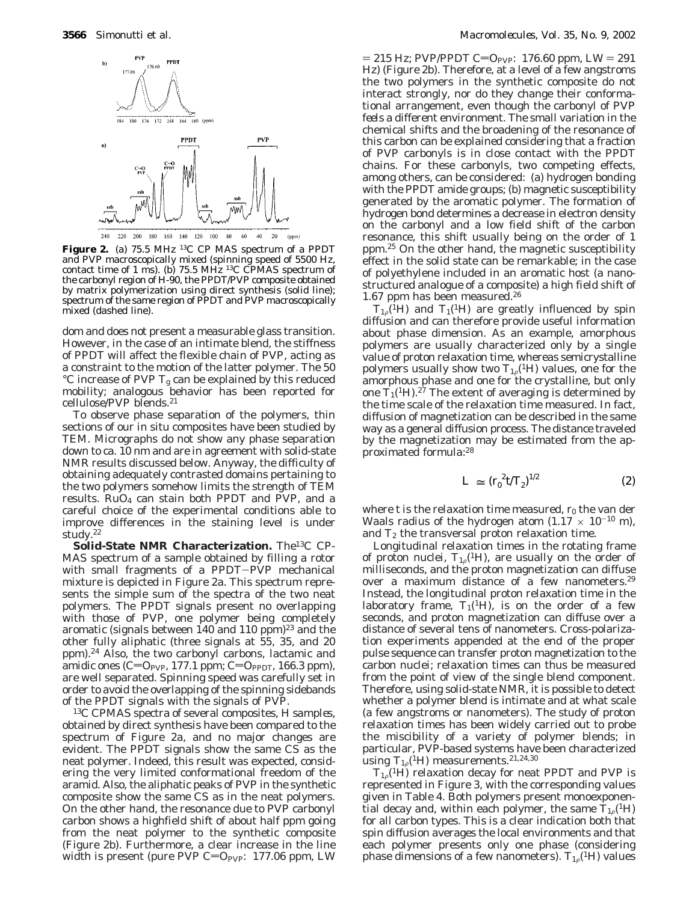

**Figure 2.** (a) 75.5 MHz 13C CP MAS spectrum of a PPDT and PVP macroscopically mixed (spinning speed of 5500 Hz, contact time of 1 ms). (b)  $75.5 \text{ MHz}$  <sup>13</sup>C CPMAS spectrum of the carbonyl region of H-90, the PPDT/PVP composite obtained by matrix polymerization using direct synthesis (solid line); spectrum of the same region of PPDT and PVP macroscopically mixed (dashed line).

dom and does not present a measurable glass transition. However, in the case of an intimate blend, the stiffness of PPDT will affect the flexible chain of PVP, acting as a constraint to the motion of the latter polymer. The 50  $\rm ^{\circ}C$  increase of PVP  $T_{\rm g}$  can be explained by this reduced mobility; analogous behavior has been reported for cellulose/PVP blends.21

To observe phase separation of the polymers, thin sections of our in situ composites have been studied by TEM. Micrographs do not show any phase separation down to ca. 10 nm and are in agreement with solid-state NMR results discussed below. Anyway, the difficulty of obtaining adequately contrasted domains pertaining to the two polymers somehow limits the strength of TEM results. RuO4 can stain both PPDT and PVP, and a careful choice of the experimental conditions able to improve differences in the staining level is under study.<sup>22</sup>

**Solid-State NMR Characterization.** The13C CP-MAS spectrum of a sample obtained by filling a rotor with small fragments of a PPDT-PVP mechanical mixture is depicted in Figure 2a. This spectrum represents the simple sum of the spectra of the two neat polymers. The PPDT signals present no overlapping with those of PVP, one polymer being completely aromatic (signals between  $140$  and  $110$  ppm) $^{23}$  and the other fully aliphatic (three signals at 55, 35, and 20 ppm).24 Also, the two carbonyl carbons, lactamic and amidic ones (C=O<sub>PVP</sub>, 177.1 ppm; C=O<sub>PPDT</sub>, 166.3 ppm), are well separated. Spinning speed was carefully set in order to avoid the overlapping of the spinning sidebands of the PPDT signals with the signals of PVP.

13C CPMAS spectra of several composites, *H samples*, obtained by direct synthesis have been compared to the spectrum of Figure 2a, and no major changes are evident. The PPDT signals show the same CS as the neat polymer. Indeed, this result was expected, considering the very limited conformational freedom of the aramid. Also, the aliphatic peaks of PVP in the synthetic composite show the same CS as in the neat polymers. On the other hand, the resonance due to PVP carbonyl carbon shows a highfield shift of about half ppm going from the neat polymer to the synthetic composite (Figure 2b). Furthermore, a clear increase in the line width is present (pure PVP  $C=O_{PVP}$ : 177.06 ppm, LW

 $= 215$  Hz; PVP/PPDT C=O<sub>PVP</sub>: 176.60 ppm, LW = 291 Hz) (Figure 2b). Therefore, at a level of a few angstroms the two polymers in the synthetic composite do not interact strongly, nor do they change their conformational arrangement, even though the carbonyl of PVP *feels* a different environment. The small variation in the chemical shifts and the broadening of the resonance of this carbon can be explained considering that a fraction of PVP carbonyls is in close contact with the PPDT chains. For these carbonyls, two competing effects, among others, can be considered: (a) hydrogen bonding with the PPDT amide groups; (b) magnetic susceptibility generated by the aromatic polymer. The formation of hydrogen bond determines a decrease in electron density on the carbonyl and a low field shift of the carbon resonance, this shift usually being on the order of 1 ppm.25 On the other hand, the magnetic susceptibility effect in the solid state can be remarkable; in the case of polyethylene included in an aromatic host (a nanostructured analogue of a composite) a high field shift of 1.67 ppm has been measured.26

 $T_{1,\rho}$ <sup>(1</sup>H) and *T*<sub>1</sub>(<sup>1</sup>H) are greatly influenced by spin diffusion and can therefore provide useful information about phase dimension. As an example, amorphous polymers are usually characterized only by a single value of proton relaxation time, whereas semicrystalline polymers usually show two  $T_{1\rho}$ <sup>(1</sup>H) values, one for the amorphous phase and one for the crystalline, but only one  $\dot{T}_1(^1H)$ .<sup>27</sup> The extent of averaging is determined by the time scale of the relaxation time measured. In fact, diffusion of magnetization can be described in the same way as a general diffusion process. The distance traveled by the magnetization may be estimated from the approximated formula:28

$$
\langle L \rangle \simeq (r_0^2 t/T_2)^{1/2} \tag{2}
$$

where  $t$  is the relaxation time measured,  $r_0$  the van der Waals radius of the hydrogen atom (1.17  $\times$  10<sup>-10</sup> m), and  $T_2$  the transversal proton relaxation time.

Longitudinal relaxation times in the rotating frame of proton nuclei,  $T_{1\rho}$ <sup>(1</sup>H), are usually on the order of milliseconds, and the proton magnetization can diffuse over a maximum distance of a few nanometers.<sup>29</sup> Instead, the longitudinal proton relaxation time in the laboratory frame,  $T_1(^1H)$ , is on the order of a few seconds, and proton magnetization can diffuse over a distance of several tens of nanometers. Cross-polarization experiments appended at the end of the proper pulse sequence can transfer proton magnetization to the carbon nuclei; relaxation times can thus be measured from the point of view of the single blend component. Therefore, using solid-state NMR, it is possible to detect whether a polymer blend is intimate and at what scale (a few angstroms or nanometers). The study of proton relaxation times has been widely carried out to probe the miscibility of a variety of polymer blends; in particular, PVP-based systems have been characterized using  $T_{1\rho}$ <sup>(1</sup>H) measurements.<sup>21,24,30</sup>

 $T_{1,\rho}$ <sup>(1</sup>H) relaxation decay for neat PPDT and PVP is represented in Figure 3, with the corresponding values given in Table 4. Both polymers present monoexponential decay and, within each polymer, the same  $T_{10}({}^{1}H)$ for all carbon types. This is a clear indication both that spin diffusion averages the local environments and that each polymer presents only one phase (considering phase dimensions of a few nanometers).  $T_{1\rho}(^1H)$  values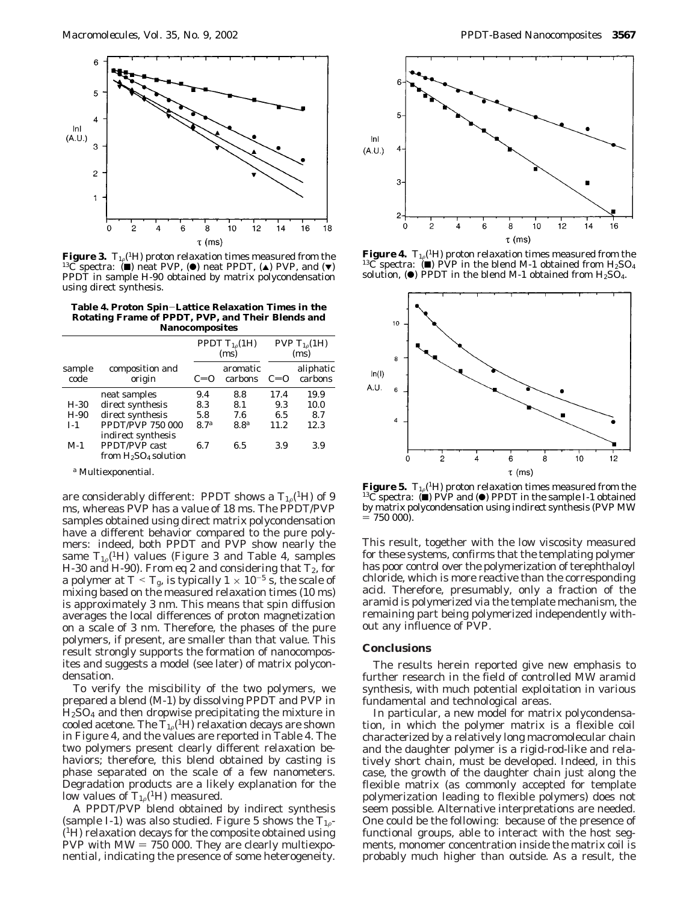

**Figure 3.**  $T_{1\rho}$ <sup>(1</sup>H) proton relaxation times measured from the <sup>13</sup>C spectra: ( $\blacksquare$ ) neat PVP, ( $\spadesuit$ ) neat PPDT, ( $\spadesuit$ ) PVP, and ( $\blacktriangledown$ ) PPDT in sample H-90 obtained by matrix polycondensation using direct synthesis.

**Table 4. Proton Spin**-**Lattice Relaxation Times in the Rotating Frame of PPDT, PVP, and Their Blends and Nanocomposites**

| sample<br>code | composition and<br>origin                                            | PPDT $T_{1\rho}(1H)$<br>(ms) |                     | PVP $T_{10}(1H)$<br>(ms) |                      |
|----------------|----------------------------------------------------------------------|------------------------------|---------------------|--------------------------|----------------------|
|                |                                                                      | $C=0$                        | aromatic<br>carbons | $C=0$                    | aliphatic<br>carbons |
|                | neat samples                                                         | 9.4                          | 8.8                 | 17.4                     | 19.9                 |
| $H-30$         | direct synthesis                                                     | 8.3                          | 8.1                 | 9.3                      | 10.0                 |
| $H-90$         | direct synthesis                                                     | 5.8                          | 7.6                 | 6.5                      | 8.7                  |
| $I-1$          | <b>PPDT/PVP 750 000</b><br>indirect synthesis                        | 8.7 <sup>a</sup>             | 8.8 <sup>a</sup>    | 11.2                     | 12.3                 |
| $M-1$          | <b>PPDT/PVP</b> cast<br>from H <sub>2</sub> SO <sub>4</sub> solution | 6.7                          | 6.5                 | 3.9                      | 3.9                  |

*<sup>a</sup>* Multiexponential.

are considerably different: PPDT shows a  $T_{10}$ <sup>(1</sup>H) of 9 ms, whereas PVP has a value of 18 ms. The PPDT/PVP samples obtained using direct matrix polycondensation have a different behavior compared to the pure polymers: indeed, both PPDT and PVP show nearly the same  $T_{1,\rho}$ <sup>(1</sup>H) values (Figure 3 and Table 4, samples H-30 and H-90). From eq 2 and considering that *T*2, for a polymer at  $T \leq T_g$ , is typically  $1 \times 10^{-5}$  s, the scale of mixing based on the measured relaxation times (10 ms) is approximately 3 nm. This means that spin diffusion averages the local differences of proton magnetization on a scale of 3 nm. Therefore, the phases of the pure polymers, if present, are smaller than that value. This result strongly supports the formation of nanocomposites and suggests a model (see later) of matrix polycondensation.

To verify the miscibility of the two polymers, we prepared a blend (*M*-1) by dissolving PPDT and PVP in  $H<sub>2</sub>SO<sub>4</sub>$  and then dropwise precipitating the mixture in cooled acetone. The  $T_{1\rho}$ <sup>(1</sup>H) relaxation decays are shown in Figure 4, and the values are reported in Table 4. The two polymers present clearly different relaxation behaviors; therefore, this blend obtained by casting is phase separated on the scale of a few nanometers. Degradation products are a likely explanation for the low values of  $T_{10}$ <sup>(1</sup>H) measured.

A PPDT/PVP blend obtained by indirect synthesis (sample I-1) was also studied. Figure 5 shows the  $T_{1,\sigma}$ -(1H) relaxation decays for the composite obtained using PVP with  $MW = 750 000$ . They are clearly multiexponential, indicating the presence of some heterogeneity.



**Figure 4.**  $T_{1\rho}$ <sup>(1</sup>H) proton relaxation times measured from the <sup>13</sup>C spectra: (■) PVP in the blend M-1 obtained from H<sub>2</sub>SO<sub>4</sub> solution, ( $\bullet$ ) PPDT in the blend M-1 obtained from H<sub>2</sub>SO<sub>4</sub>.



**Figure 5.**  $T_{1\rho}({}^1H)$  proton relaxation times measured from the 1<sup>3</sup>C spectra: ( $\blacksquare$ ) PVP and ( $\blacksquare$ ) PPDT in the sample I-1 obtained by matrix polycondensation using *indirect* synthesis (PVP MW  $= 750000$ .

This result, together with the low viscosity measured for these systems, confirms that the templating polymer has poor control over the polymerization of terephthaloyl chloride, which is more reactive than the corresponding acid. Therefore, presumably, only a fraction of the aramid is polymerized via the template mechanism, the remaining part being polymerized independently without any influence of PVP.

#### **Conclusions**

The results herein reported give new emphasis to further research in the field of controlled MW aramid synthesis, with much potential exploitation in various fundamental and technological areas.

In particular, a new model for matrix polycondensation, in which the polymer matrix is a flexible coil characterized by a relatively long macromolecular chain and the daughter polymer is a rigid-rod-like and relatively short chain, must be developed. Indeed, in this case, the growth of the daughter chain just along the flexible matrix (as commonly accepted for template polymerization leading to flexible polymers) does not seem possible. Alternative interpretations are needed. One could be the following: because of the presence of functional groups, able to interact with the host segments, monomer concentration inside the matrix coil is probably much higher than outside. As a result, the